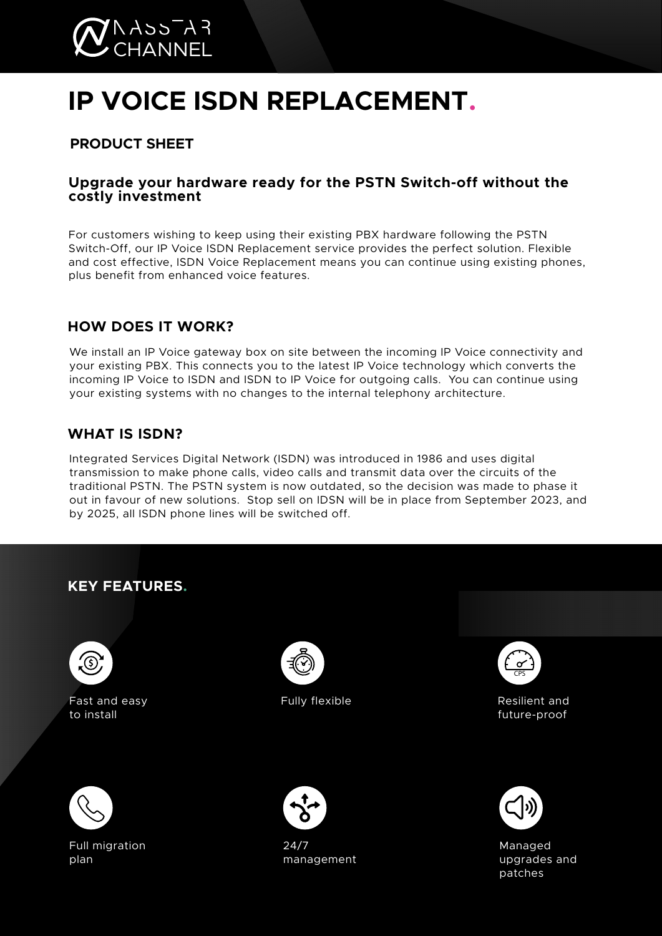

# **IP VOICE ISDN REPLACEMENT.**

# **PRODUCT SHEET**

#### **Upgrade your hardware ready for the PSTN Switch-off without the costly investment**

For customers wishing to keep using their existing PBX hardware following the PSTN Switch-Off, our IP Voice ISDN Replacement service provides the perfect solution. Flexible and cost effective, ISDN Voice Replacement means you can continue using existing phones, plus benefit from enhanced voice features.

# **HOW DOES IT WORK?**

We install an IP Voice gateway box on site between the incoming IP Voice connectivity and your existing PBX. This connects you to the latest IP Voice technology which converts the incoming IP Voice to ISDN and ISDN to IP Voice for outgoing calls. You can continue using your existing systems with no changes to the internal telephony architecture.

# **WHAT IS ISDN?**

Integrated Services Digital Network (ISDN) was introduced in 1986 and uses digital transmission to make phone calls, video calls and transmit data over the circuits of the traditional PSTN. The PSTN system is now outdated, so the decision was made to phase it out in favour of new solutions. Stop sell on IDSN will be in place from September 2023, and by 2025, all ISDN phone lines will be switched off.

# **KEY FEATURES.**



Fast and easy to install



Full migration plan



Fully flexible



Resilient and future-proof



24/7 management



Managed upgrades and patches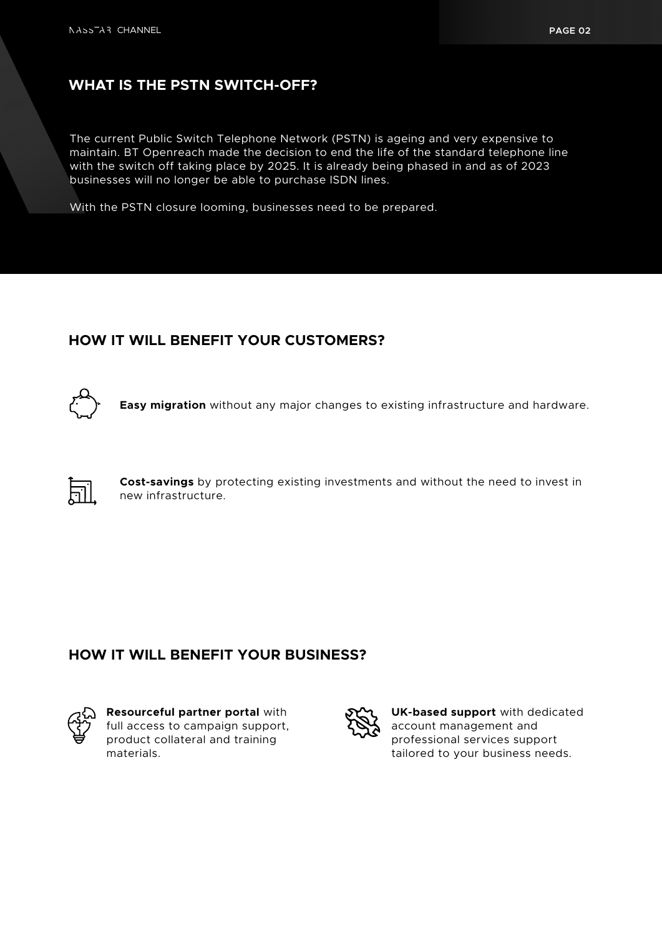### **WHAT IS THE PSTN SWITCH-OFF?**

The current Public Switch Telephone Network (PSTN) is ageing and very expensive to maintain. BT Openreach made the decision to end the life of the standard telephone line with the switch off taking place by 2025. It is already being phased in and as of 2023 businesses will no longer be able to purchase ISDN lines.

With the PSTN closure looming, businesses need to be prepared.

#### **HOW IT WILL BENEFIT YOUR CUSTOMERS?**



**Easy migration** without any major changes to existing infrastructure and hardware.



**Cost-savings** by protecting existing investments and without the need to invest in new infrastructure.

#### **HOW IT WILL BENEFIT YOUR BUSINESS?**



**Resourceful partner portal** with full access to campaign support, product collateral and training materials.



**UK-based support** with dedicated account management and professional services support tailored to your business needs.